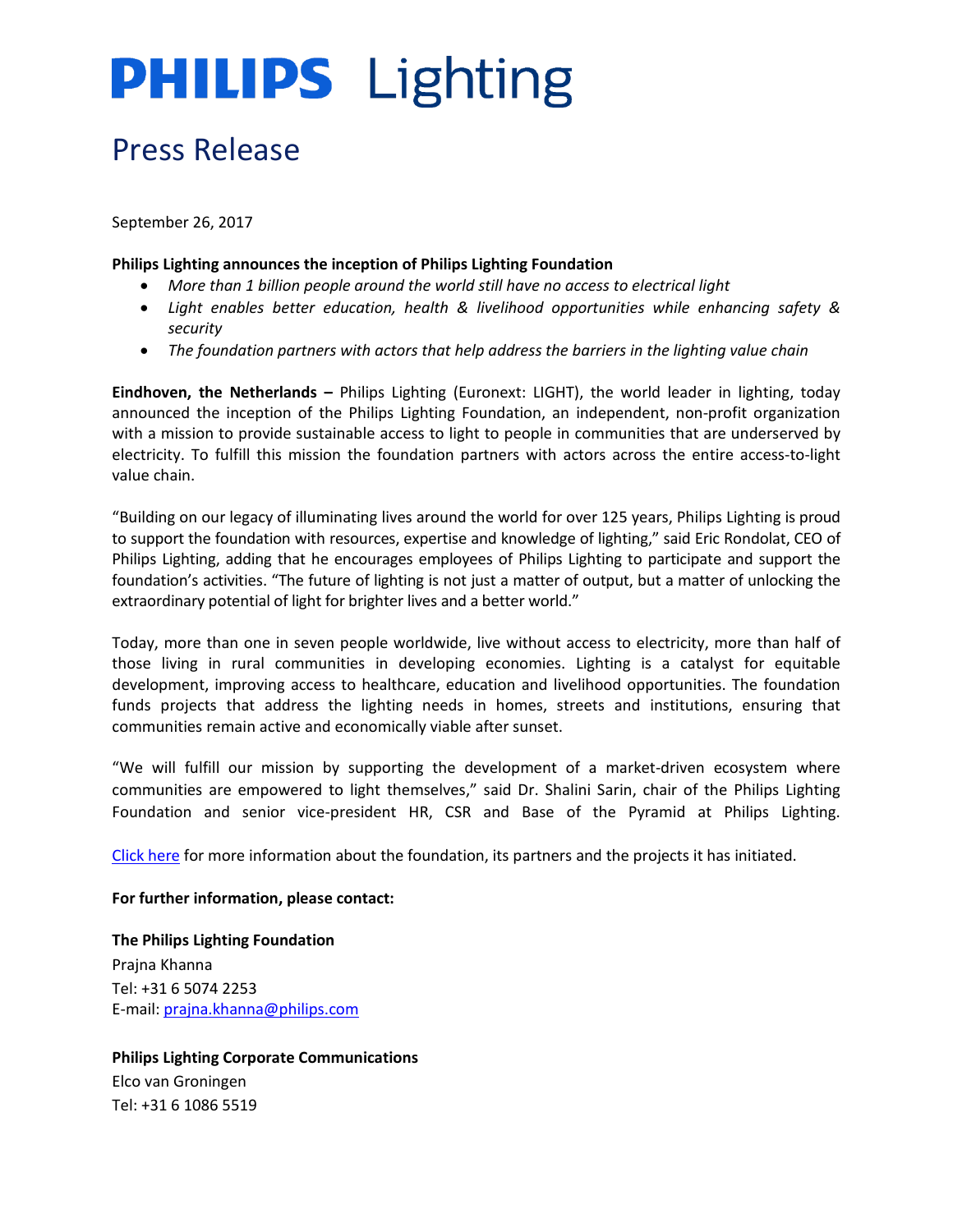## **PHILIPS** Lighting

### Press Release

September 26, 2017

#### **Philips Lighting announces the inception of Philips Lighting Foundation**

- *More than 1 billion people around the world still have no access to electrical light*
- *Light enables better education, health & livelihood opportunities while enhancing safety & security*
- *The foundation partners with actors that help address the barriers in the lighting value chain*

**Eindhoven, the Netherlands –** Philips Lighting (Euronext: LIGHT), the world leader in lighting, today announced the inception of the Philips Lighting Foundation, an independent, non-profit organization with a mission to provide sustainable access to light to people in communities that are underserved by electricity. To fulfill this mission the foundation partners with actors across the entire access-to-light value chain.

"Building on our legacy of illuminating lives around the world for over 125 years, Philips Lighting is proud to support the foundation with resources, expertise and knowledge of lighting," said Eric Rondolat, CEO of Philips Lighting, adding that he encourages employees of Philips Lighting to participate and support the foundation's activities. "The future of lighting is not just a matter of output, but a matter of unlocking the extraordinary potential of light for brighter lives and a better world."

Today, more than one in seven people worldwide, live without access to electricity, more than half of those living in rural communities in developing economies. Lighting is a catalyst for equitable development, improving access to healthcare, education and livelihood opportunities. The foundation funds projects that address the lighting needs in homes, streets and institutions, ensuring that communities remain active and economically viable after sunset.

"We will fulfill our mission by supporting the development of a market-driven ecosystem where communities are empowered to light themselves," said Dr. Shalini Sarin, chair of the Philips Lighting Foundation and senior vice-president HR, CSR and Base of the Pyramid at Philips Lighting.

[Click](http://www.lighting.philips.com/main/company/philips-lighting-foundation) here for more information about the foundation, its partners and the projects it has initiated.

#### **For further information, please contact:**

**The Philips Lighting Foundation** Prajna Khanna Tel: +31 6 5074 2253 E-mail: [prajna.khanna@philips.com](mailto:prajna.khanna@philips.com)

**Philips Lighting Corporate Communications** Elco van Groningen Tel: +31 6 1086 5519